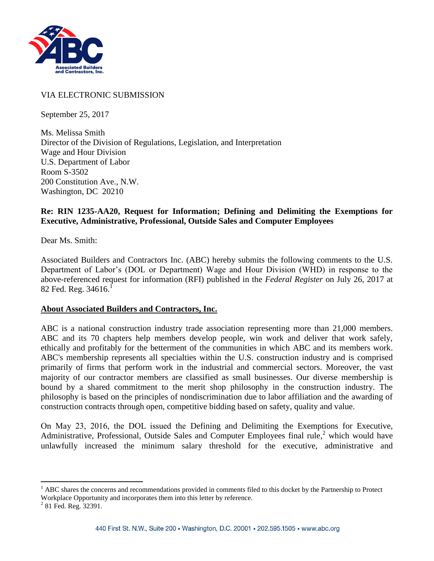

# VIA ELECTRONIC SUBMISSION

September 25, 2017

Ms. Melissa Smith Director of the Division of Regulations, Legislation, and Interpretation Wage and Hour Division U.S. Department of Labor Room S-3502 200 Constitution Ave., N.W. Washington, DC 20210

#### **Re: RIN 1235-AA20, Request for Information; Defining and Delimiting the Exemptions for Executive, Administrative, Professional, Outside Sales and Computer Employees**

Dear Ms. Smith:

Associated Builders and Contractors Inc. (ABC) hereby submits the following comments to the U.S. Department of Labor's (DOL or Department) Wage and Hour Division (WHD) in response to the above-referenced request for information (RFI) published in the *Federal Register* on July 26, 2017 at  $82$  Fed. Reg. 34616.<sup>1</sup>

#### **About Associated Builders and Contractors, Inc.**

ABC is a national construction industry trade association representing more than 21,000 members. ABC and its 70 chapters help members develop people, win work and deliver that work safely, ethically and profitably for the betterment of the communities in which ABC and its members work. ABC's membership represents all specialties within the U.S. construction industry and is comprised primarily of firms that perform work in the industrial and commercial sectors. Moreover, the vast majority of our contractor members are classified as small businesses. Our diverse membership is bound by a shared commitment to the merit shop philosophy in the construction industry. The philosophy is based on the principles of nondiscrimination due to labor affiliation and the awarding of construction contracts through open, competitive bidding based on safety, quality and value.

On May 23, 2016, the DOL issued the Defining and Delimiting the Exemptions for Executive, Administrative, Professional, Outside Sales and Computer Employees final rule,<sup>2</sup> which would have unlawfully increased the minimum salary threshold for the executive, administrative and

 $\overline{a}$ 

 $<sup>1</sup>$  ABC shares the concerns and recommendations provided in comments filed to this docket by the Partnership to Protect</sup> Workplace Opportunity and incorporates them into this letter by reference.

<sup>&</sup>lt;sup>2</sup> 81 Fed. Reg. 32391.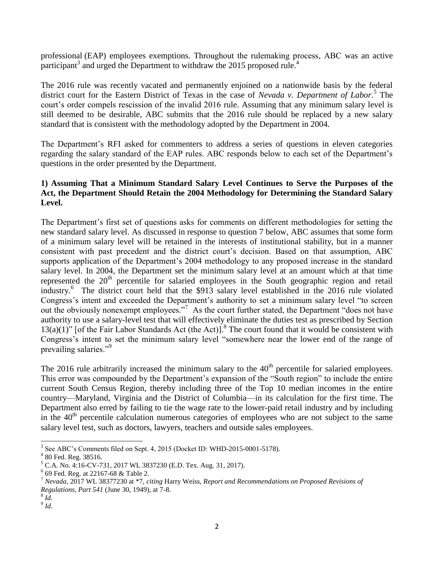professional (EAP) employees exemptions. Throughout the rulemaking process, ABC was an active participant<sup>3</sup> and urged the Department to withdraw the 2015 proposed rule.<sup>4</sup>

The 2016 rule was recently vacated and permanently enjoined on a nationwide basis by the federal district court for the Eastern District of Texas in the case of *Nevada v. Department of Labor*. 5 The court's order compels rescission of the invalid 2016 rule. Assuming that any minimum salary level is still deemed to be desirable, ABC submits that the 2016 rule should be replaced by a new salary standard that is consistent with the methodology adopted by the Department in 2004.

The Department's RFI asked for commenters to address a series of questions in eleven categories regarding the salary standard of the EAP rules. ABC responds below to each set of the Department's questions in the order presented by the Department.

## **1) Assuming That a Minimum Standard Salary Level Continues to Serve the Purposes of the Act, the Department Should Retain the 2004 Methodology for Determining the Standard Salary Level.**

The Department's first set of questions asks for comments on different methodologies for setting the new standard salary level. As discussed in response to question 7 below, ABC assumes that some form of a minimum salary level will be retained in the interests of institutional stability, but in a manner consistent with past precedent and the district court's decision. Based on that assumption, ABC supports application of the Department's 2004 methodology to any proposed increase in the standard salary level. In 2004, the Department set the minimum salary level at an amount which at that time represented the 20<sup>th</sup> percentile for salaried employees in the South geographic region and retail industry.<sup>6</sup> The district court held that the \$913 salary level established in the 2016 rule violated Congress's intent and exceeded the Department's authority to set a minimum salary level "to screen out the obviously nonexempt employees."<sup>7</sup> As the court further stated, the Department "does not have authority to use a salary-level test that will effectively eliminate the duties test as prescribed by Section  $13(a)(1)$ " [of the Fair Labor Standards Act (the Act)].<sup>8</sup> The court found that it would be consistent with Congress's intent to set the minimum salary level "somewhere near the lower end of the range of prevailing salaries."<sup>9</sup>

The 2016 rule arbitrarily increased the minimum salary to the  $40<sup>th</sup>$  percentile for salaried employees. This error was compounded by the Department's expansion of the "South region" to include the entire current South Census Region, thereby including three of the Top 10 median incomes in the entire country—Maryland, Virginia and the District of Columbia—in its calculation for the first time. The Department also erred by failing to tie the wage rate to the lower-paid retail industry and by including in the  $40<sup>th</sup>$  percentile calculation numerous categories of employees who are not subject to the same salary level test, such as doctors, lawyers, teachers and outside sales employees.

 3 See ABC's Comments filed on Sept. 4, 2015 (Docket ID: WHD-2015-0001-5178).

 $4$  80 Fed. Reg. 38516.

<sup>5</sup> C.A. No. 4:16-CV-731, 2017 WL 3837230 (E.D. Tex. Aug. 31, 2017).

<sup>6</sup> 69 Fed. Reg. at 22167-68 & Table 2.

<sup>7</sup> *Nevada*, 2017 WL 38377230 at \*7, *citing* Harry Weiss, *Report and Recommendations on Proposed Revisions of Regulations, Part 541* (June 30, 1949), at 7-8.

<sup>8</sup> *Id.*

<sup>9</sup> *Id*.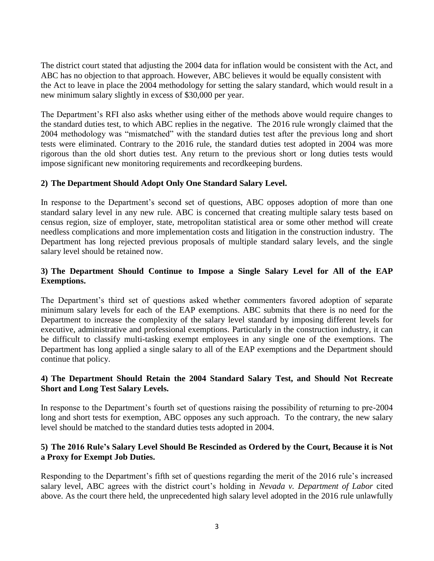The district court stated that adjusting the 2004 data for inflation would be consistent with the Act, and ABC has no objection to that approach. However, ABC believes it would be equally consistent with the Act to leave in place the 2004 methodology for setting the salary standard, which would result in a new minimum salary slightly in excess of \$30,000 per year.

The Department's RFI also asks whether using either of the methods above would require changes to the standard duties test, to which ABC replies in the negative. The 2016 rule wrongly claimed that the 2004 methodology was "mismatched" with the standard duties test after the previous long and short tests were eliminated. Contrary to the 2016 rule, the standard duties test adopted in 2004 was more rigorous than the old short duties test. Any return to the previous short or long duties tests would impose significant new monitoring requirements and recordkeeping burdens.

# **2) The Department Should Adopt Only One Standard Salary Level.**

In response to the Department's second set of questions, ABC opposes adoption of more than one standard salary level in any new rule. ABC is concerned that creating multiple salary tests based on census region, size of employer, state, metropolitan statistical area or some other method will create needless complications and more implementation costs and litigation in the construction industry. The Department has long rejected previous proposals of multiple standard salary levels, and the single salary level should be retained now.

# **3) The Department Should Continue to Impose a Single Salary Level for All of the EAP Exemptions.**

The Department's third set of questions asked whether commenters favored adoption of separate minimum salary levels for each of the EAP exemptions. ABC submits that there is no need for the Department to increase the complexity of the salary level standard by imposing different levels for executive, administrative and professional exemptions. Particularly in the construction industry, it can be difficult to classify multi-tasking exempt employees in any single one of the exemptions. The Department has long applied a single salary to all of the EAP exemptions and the Department should continue that policy.

## **4) The Department Should Retain the 2004 Standard Salary Test, and Should Not Recreate Short and Long Test Salary Levels.**

In response to the Department's fourth set of questions raising the possibility of returning to pre-2004 long and short tests for exemption, ABC opposes any such approach. To the contrary, the new salary level should be matched to the standard duties tests adopted in 2004.

## **5) The 2016 Rule's Salary Level Should Be Rescinded as Ordered by the Court, Because it is Not a Proxy for Exempt Job Duties.**

Responding to the Department's fifth set of questions regarding the merit of the 2016 rule's increased salary level, ABC agrees with the district court's holding in *Nevada v. Department of Labor* cited above. As the court there held, the unprecedented high salary level adopted in the 2016 rule unlawfully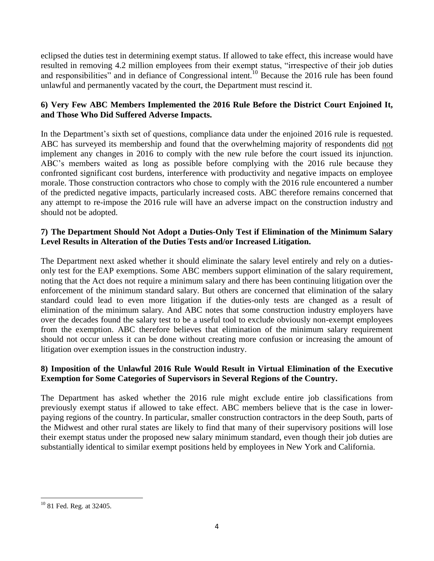eclipsed the duties test in determining exempt status. If allowed to take effect, this increase would have resulted in removing 4.2 million employees from their exempt status, "irrespective of their job duties and responsibilities" and in defiance of Congressional intent.<sup>10</sup> Because the 2016 rule has been found unlawful and permanently vacated by the court, the Department must rescind it.

# **6) Very Few ABC Members Implemented the 2016 Rule Before the District Court Enjoined It, and Those Who Did Suffered Adverse Impacts.**

In the Department's sixth set of questions, compliance data under the enjoined 2016 rule is requested. ABC has surveyed its membership and found that the overwhelming majority of respondents did not implement any changes in 2016 to comply with the new rule before the court issued its injunction. ABC's members waited as long as possible before complying with the 2016 rule because they confronted significant cost burdens, interference with productivity and negative impacts on employee morale. Those construction contractors who chose to comply with the 2016 rule encountered a number of the predicted negative impacts, particularly increased costs. ABC therefore remains concerned that any attempt to re-impose the 2016 rule will have an adverse impact on the construction industry and should not be adopted.

# **7) The Department Should Not Adopt a Duties-Only Test if Elimination of the Minimum Salary Level Results in Alteration of the Duties Tests and/or Increased Litigation.**

The Department next asked whether it should eliminate the salary level entirely and rely on a dutiesonly test for the EAP exemptions. Some ABC members support elimination of the salary requirement, noting that the Act does not require a minimum salary and there has been continuing litigation over the enforcement of the minimum standard salary. But others are concerned that elimination of the salary standard could lead to even more litigation if the duties-only tests are changed as a result of elimination of the minimum salary. And ABC notes that some construction industry employers have over the decades found the salary test to be a useful tool to exclude obviously non-exempt employees from the exemption. ABC therefore believes that elimination of the minimum salary requirement should not occur unless it can be done without creating more confusion or increasing the amount of litigation over exemption issues in the construction industry.

## **8) Imposition of the Unlawful 2016 Rule Would Result in Virtual Elimination of the Executive Exemption for Some Categories of Supervisors in Several Regions of the Country.**

The Department has asked whether the 2016 rule might exclude entire job classifications from previously exempt status if allowed to take effect. ABC members believe that is the case in lowerpaying regions of the country. In particular, smaller construction contractors in the deep South, parts of the Midwest and other rural states are likely to find that many of their supervisory positions will lose their exempt status under the proposed new salary minimum standard, even though their job duties are substantially identical to similar exempt positions held by employees in New York and California.

 $\overline{a}$ <sup>10</sup> 81 Fed. Reg. at 32405.